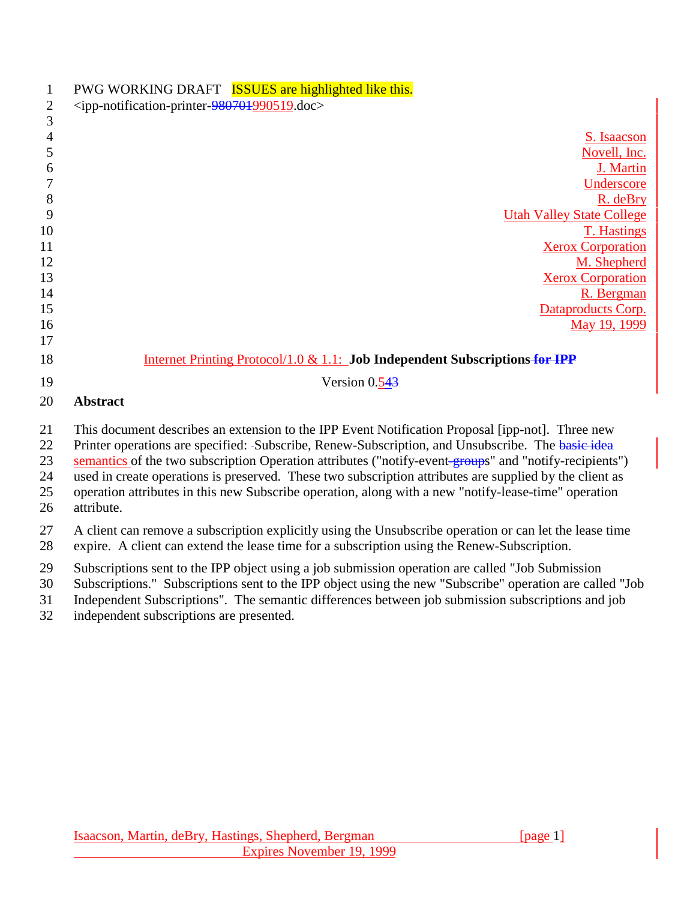| $\mathbf{1}$<br>$\mathbf{2}$<br>3 | PWG WORKING DRAFT ISSUES are highlighted like this.<br><ipp-notification-printer-980701990519.doc></ipp-notification-printer-980701990519.doc>                                                                                                                                                                                                                                                                                                                                                                                                   |
|-----------------------------------|--------------------------------------------------------------------------------------------------------------------------------------------------------------------------------------------------------------------------------------------------------------------------------------------------------------------------------------------------------------------------------------------------------------------------------------------------------------------------------------------------------------------------------------------------|
| $\overline{4}$<br>5               | S. Isaacson<br>Novell, Inc.                                                                                                                                                                                                                                                                                                                                                                                                                                                                                                                      |
| 6                                 | J. Martin                                                                                                                                                                                                                                                                                                                                                                                                                                                                                                                                        |
| 7                                 | Underscore                                                                                                                                                                                                                                                                                                                                                                                                                                                                                                                                       |
| 8<br>9                            | R. deBry                                                                                                                                                                                                                                                                                                                                                                                                                                                                                                                                         |
| 10                                | <b>Utah Valley State College</b><br><b>T. Hastings</b>                                                                                                                                                                                                                                                                                                                                                                                                                                                                                           |
| 11                                | <b>Xerox Corporation</b>                                                                                                                                                                                                                                                                                                                                                                                                                                                                                                                         |
| 12                                | M. Shepherd                                                                                                                                                                                                                                                                                                                                                                                                                                                                                                                                      |
| 13                                | <b>Xerox Corporation</b>                                                                                                                                                                                                                                                                                                                                                                                                                                                                                                                         |
| 14                                | R. Bergman                                                                                                                                                                                                                                                                                                                                                                                                                                                                                                                                       |
| 15                                | Dataproducts Corp.                                                                                                                                                                                                                                                                                                                                                                                                                                                                                                                               |
| 16                                | May 19, 1999                                                                                                                                                                                                                                                                                                                                                                                                                                                                                                                                     |
| 17                                |                                                                                                                                                                                                                                                                                                                                                                                                                                                                                                                                                  |
| 18                                | Internet Printing Protocol/1.0 & 1.1: Job Independent Subscriptions for IPP                                                                                                                                                                                                                                                                                                                                                                                                                                                                      |
| 19                                | Version $0.543$                                                                                                                                                                                                                                                                                                                                                                                                                                                                                                                                  |
| 20                                | <b>Abstract</b>                                                                                                                                                                                                                                                                                                                                                                                                                                                                                                                                  |
| 21<br>22<br>23<br>24<br>25<br>26  | This document describes an extension to the IPP Event Notification Proposal [ipp-not]. Three new<br>Printer operations are specified: -Subscribe, Renew-Subscription, and Unsubscribe. The basic idea<br>semantics of the two subscription Operation attributes ("notify-event-groups" and "notify-recipients")<br>used in create operations is preserved. These two subscription attributes are supplied by the client as<br>operation attributes in this new Subscribe operation, along with a new "notify-lease-time" operation<br>attribute. |
| 27<br>28                          | A client can remove a subscription explicitly using the Unsubscribe operation or can let the lease time<br>expire. A client can extend the lease time for a subscription using the Renew-Subscription.                                                                                                                                                                                                                                                                                                                                           |
| 29<br>30<br>31<br>32              | Subscriptions sent to the IPP object using a job submission operation are called "Job Submission"<br>Subscriptions." Subscriptions sent to the IPP object using the new "Subscribe" operation are called "Job<br>Independent Subscriptions". The semantic differences between job submission subscriptions and job<br>independent subscriptions are presented.                                                                                                                                                                                   |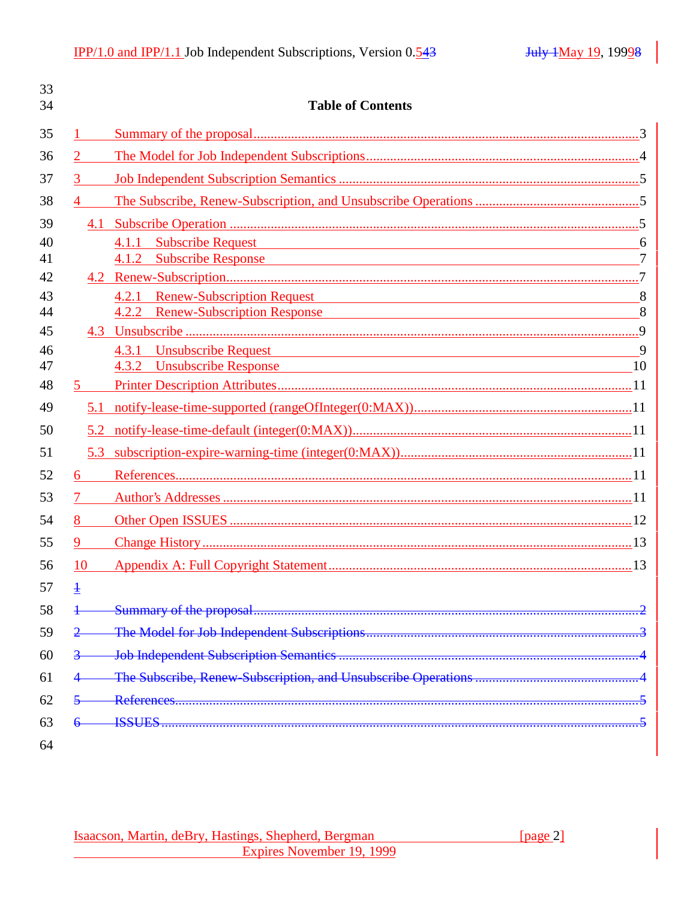| 33<br>34 |                        | <b>Table of Contents</b>                                                                                                                                                                                                      |                |
|----------|------------------------|-------------------------------------------------------------------------------------------------------------------------------------------------------------------------------------------------------------------------------|----------------|
| 35       |                        |                                                                                                                                                                                                                               |                |
| 36       | $\overline{2}$         |                                                                                                                                                                                                                               |                |
| 37       | $3 \quad \blacksquare$ |                                                                                                                                                                                                                               |                |
| 38       | $\overline{4}$         |                                                                                                                                                                                                                               |                |
| 39       |                        |                                                                                                                                                                                                                               |                |
| 40       |                        | 4.1.1 Subscribe Request 2008 and 2008 and 2008 and 2008 and 2008 and 2008 and 2008 and 2008 and 2008 and 2008 and 2008 and 2008 and 2008 and 2008 and 2008 and 2008 and 2008 and 2008 and 2008 and 2008 and 2008 and 2008 and | 6              |
| 41       |                        | 4.1.2 Subscribe Response                                                                                                                                                                                                      | $\overline{7}$ |
| 42       |                        |                                                                                                                                                                                                                               |                |
| 43       |                        | 4.2.1 Renew-Subscription Request 8                                                                                                                                                                                            |                |
| 44       |                        | 4.2.2 Renew-Subscription Response                                                                                                                                                                                             | 8              |
| 45       |                        |                                                                                                                                                                                                                               |                |
| 46       |                        | 4.3.1 Unsubscribe Request 9                                                                                                                                                                                                   |                |
| 47<br>48 |                        | 4.3.2 Unsubscribe Response 10                                                                                                                                                                                                 |                |
|          | 5.                     |                                                                                                                                                                                                                               |                |
| 49       |                        |                                                                                                                                                                                                                               |                |
| 50       |                        |                                                                                                                                                                                                                               |                |
| 51       | 5.3                    |                                                                                                                                                                                                                               |                |
| 52       | 6                      |                                                                                                                                                                                                                               |                |
| 53       |                        |                                                                                                                                                                                                                               |                |
| 54       | 8 — 1                  |                                                                                                                                                                                                                               |                |
| 55       | 9                      |                                                                                                                                                                                                                               |                |
| 56       | 10                     |                                                                                                                                                                                                                               |                |
| 57       | $\ddagger$             |                                                                                                                                                                                                                               |                |
| 58       |                        |                                                                                                                                                                                                                               |                |
| 59       |                        |                                                                                                                                                                                                                               |                |
| 60       |                        |                                                                                                                                                                                                                               |                |
| 61       |                        |                                                                                                                                                                                                                               |                |
| 62       |                        | References.                                                                                                                                                                                                                   |                |
| 63       |                        | <b>ISSUES</b>                                                                                                                                                                                                                 |                |
| 64       |                        |                                                                                                                                                                                                                               |                |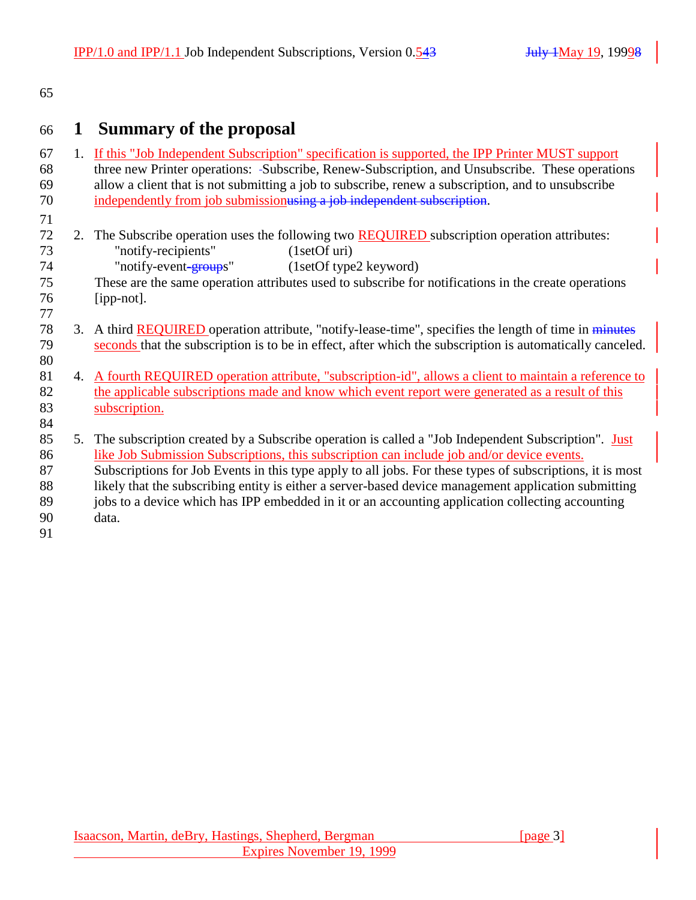#### 65

# 66 **1 Summary of the proposal**

| 67 |    | 1. If this "Job Independent Subscription" specification is supported, the IPP Printer MUST support        |
|----|----|-----------------------------------------------------------------------------------------------------------|
| 68 |    | three new Printer operations: -Subscribe, Renew-Subscription, and Unsubscribe. These operations           |
| 69 |    | allow a client that is not submitting a job to subscribe, renew a subscription, and to unsubscribe        |
| 70 |    | independently from job submissionusing a job independent subscription.                                    |
| 71 |    |                                                                                                           |
| 72 | 2. | The Subscribe operation uses the following two <b>REQUIRED</b> subscription operation attributes:         |
| 73 |    | "notify-recipients"<br>(1setOf uri)                                                                       |
| 74 |    | "notify-event <del>-group</del> s"<br>(1setOf type2 keyword)                                              |
| 75 |    | These are the same operation attributes used to subscribe for notifications in the create operations      |
| 76 |    | [ipp-not].                                                                                                |
| 77 |    |                                                                                                           |
| 78 | 3. | A third REQUIRED operation attribute, "notify-lease-time", specifies the length of time in minutes        |
| 79 |    | seconds that the subscription is to be in effect, after which the subscription is automatically canceled. |
| 80 |    |                                                                                                           |
| 81 |    | 4. A fourth REQUIRED operation attribute, "subscription-id", allows a client to maintain a reference to   |
| 82 |    | the applicable subscriptions made and know which event report were generated as a result of this          |
| 83 |    | subscription.                                                                                             |
| 84 |    |                                                                                                           |
| 85 | 5. | The subscription created by a Subscribe operation is called a "Job Independent Subscription". Just        |
| 86 |    | like Job Submission Subscriptions, this subscription can include job and/or device events.                |
| 87 |    | Subscriptions for Job Events in this type apply to all jobs. For these types of subscriptions, it is most |
| 88 |    | likely that the subscribing entity is either a server-based device management application submitting      |
| 89 |    | jobs to a device which has IPP embedded in it or an accounting application collecting accounting          |
| 90 |    | data.                                                                                                     |
| 91 |    |                                                                                                           |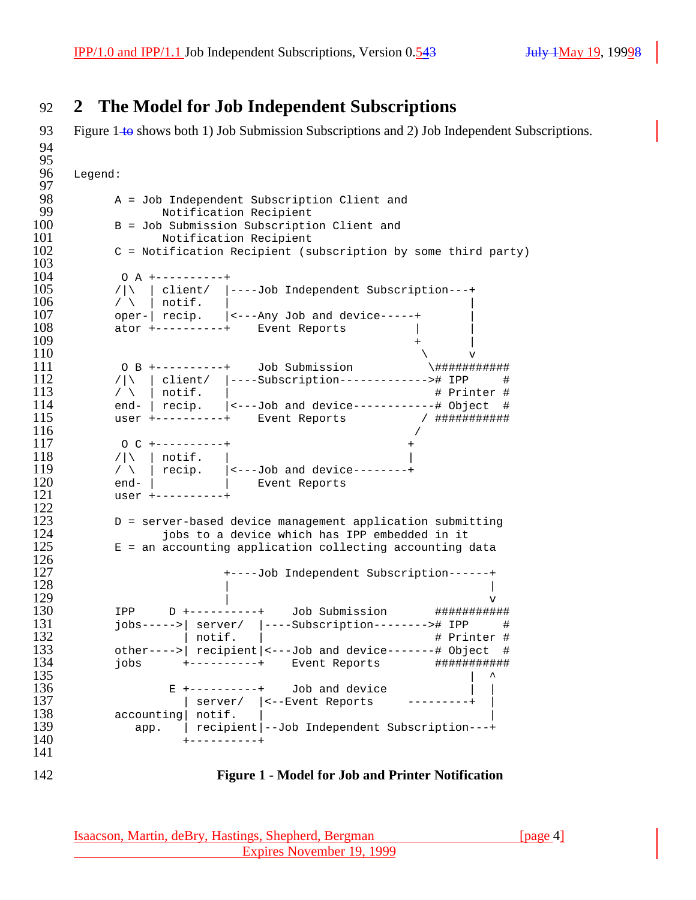# 92 **2 The Model for Job Independent Subscriptions**

93 Figure 1 to shows both 1) Job Submission Subscriptions and 2) Job Independent Subscriptions.

```
94
95<br>96
     Legend:
97<br>98
98 A = Job Independent Subscription Client and 99
99 Notification Recipient
100 B = Job Submission Subscription Client and<br>101 Motification Recipient
101 Notification Recipient
          102 C = Notification Recipient (subscription by some third party)
\frac{103}{104}104 0 A +----------+<br>105 / | \ | client/ |-
105 /|\ | client/ |----Job Independent Subscription---+<br>106 / \ | notif. |
106 / \ | notif. | |
107 oper- | recip. | <---Any Job and device-----+<br>108 ator +----------+ Event Reports
108 ator +-----------+ Event Reports |<br>109 +
109 +
110 \sqrt{v}111 O B +----------+ Job Submission \###########
112 /|\ | client/ |----Subscription------------># IPP #<br>113 / \ | notif. | # Printer #
113 / \ | notif. | # Printer #
114 end- | recip. | (---Job and device-----------# Object #<br>115 user +----------+ Event Reports / #############
115 user +----------+ Event Reports / ###########
116 /
117 0 C +----------+<br>118 / | \ | notif. |
118 /|\n\setminus | notif. |<br>119 /|\n\setminus | recip. |<-
119 / \ | recip. | <---Job and device--------+<br>120 end- | l = Event Reports
120 end- | | Event Reports<br>121 user +----------+
          user +------++\frac{122}{123}D = server-based device management application submitting
124 iobs to a device which has IPP embedded in it<br>125 E = an accounting application collecting accounting of
          E = an accounting application collecting accounting data
\frac{126}{127}127 +----Job Independent Subscription------+
128129 v
130 IPP D +----------+ Job Submission ############<br>131 iobs----->| server/ |----Subscription--------># IPP #
131 jobs----->| server/ |----Subscription--------># IPP #
132 | notif. | # Printer #
133 other---->| recipient|<---Job and device-------# Object #
134 jobs +----------+ Event Reports ###########
135136 E +----------+ Job and device<br>137 Server/ |<--Event Reports
137 | server/ |<--Event Reports ---------+ |
138 accounting notif.<br>139 app. recipie
139 app. | recipient|--Job Independent Subscription---+<br>140 +----------+
                   140 +----------+
141
```
#### 142 **Figure 1 - Model for Job and Printer Notification**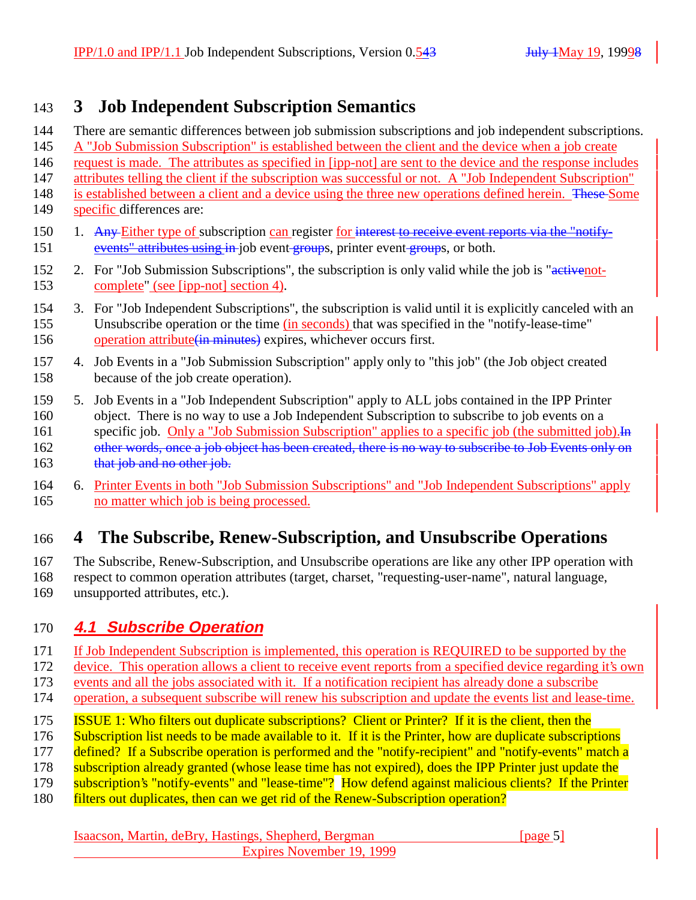# **3 Job Independent Subscription Semantics**

- There are semantic differences between job submission subscriptions and job independent subscriptions.
- A "Job Submission Subscription" is established between the client and the device when a job create
- request is made. The attributes as specified in [ipp-not] are sent to the device and the response includes
- attributes telling the client if the subscription was successful or not. A "Job Independent Subscription"
- 148 is established between a client and a device using the three new operations defined herein. These Some specific differences are:
- 150 1. Any Either type of subscription can register for interest to receive event reports via the "notify-151 events" attributes using in job event groups, printer event groups, or both.
- 152 2. For "Job Submission Subscriptions", the subscription is only valid while the job is "activenot-complete" (see [ipp-not] section 4).
- 3. For "Job Independent Subscriptions", the subscription is valid until it is explicitly canceled with an Unsubscribe operation or the time (in seconds) that was specified in the "notify-lease-time" operation attribute(in minutes) expires, whichever occurs first.
- 4. Job Events in a "Job Submission Subscription" apply only to "this job" (the Job object created because of the job create operation).
- 5. Job Events in a "Job Independent Subscription" apply to ALL jobs contained in the IPP Printer object. There is no way to use a Job Independent Subscription to subscribe to job events on a 161 specific job. Only a "Job Submission Subscription" applies to a specific job (the submitted job). In 162 other words, once a job object has been created, there is no way to subscribe to Job Events only on 163 that job and no other job.
- 6. Printer Events in both "Job Submission Subscriptions" and "Job Independent Subscriptions" apply no matter which job is being processed.

# **4 The Subscribe, Renew-Subscription, and Unsubscribe Operations**

- The Subscribe, Renew-Subscription, and Unsubscribe operations are like any other IPP operation with
- respect to common operation attributes (target, charset, "requesting-user-name", natural language,
- unsupported attributes, etc.).

# **4.1 Subscribe Operation**

- If Job Independent Subscription is implemented, this operation is REQUIRED to be supported by the
- device. This operation allows a client to receive event reports from a specified device regarding it's own
- events and all the jobs associated with it. If a notification recipient has already done a subscribe
- operation, a subsequent subscribe will renew his subscription and update the events list and lease-time.
- ISSUE 1: Who filters out duplicate subscriptions? Client or Printer? If it is the client, then the
- 176 Subscription list needs to be made available to it. If it is the Printer, how are duplicate subscriptions
- 177 defined? If a Subscribe operation is performed and the "notify-recipient" and "notify-events" match a
- 178 subscription already granted (whose lease time has not expired), does the IPP Printer just update the
- subscription's "notify-events" and "lease-time"? How defend against malicious clients? If the Printer
- filters out duplicates, then can we get rid of the Renew-Subscription operation?

#### Isaacson, Martin, deBry, Hastings, Shepherd, Bergman [page 5] Expires November 19, 1999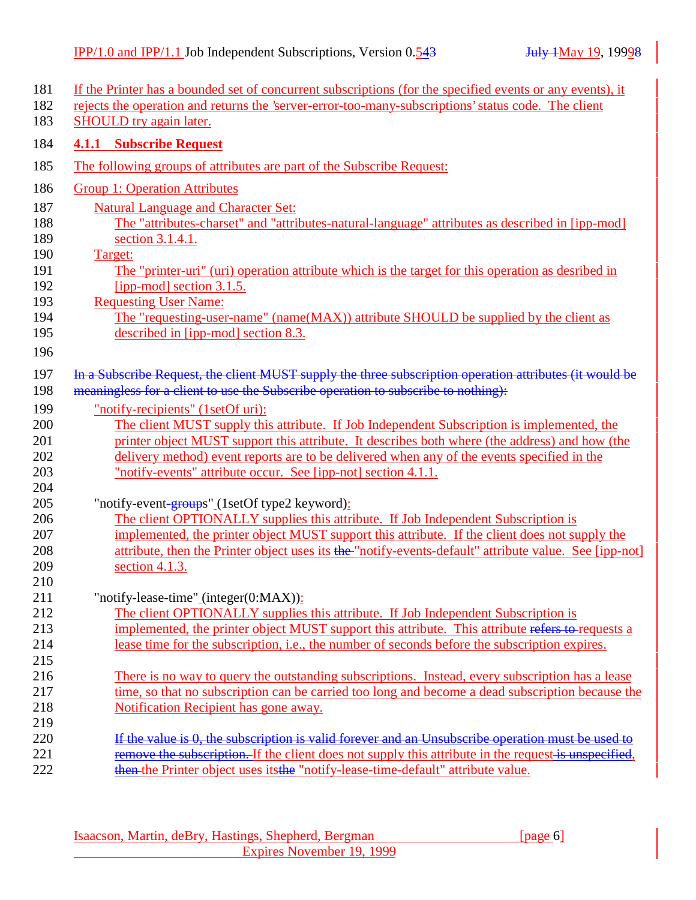| 181        | If the Printer has a bounded set of concurrent subscriptions (for the specified events or any events), it |
|------------|-----------------------------------------------------------------------------------------------------------|
| 182        | rejects the operation and returns the 'server-error-too-many-subscriptions' status code. The client       |
| 183        | SHOULD try again later.                                                                                   |
| 184        | <b>4.1.1 Subscribe Request</b>                                                                            |
| 185        | The following groups of attributes are part of the Subscribe Request:                                     |
| 186        | <b>Group 1: Operation Attributes</b>                                                                      |
| 187        | <b>Natural Language and Character Set:</b>                                                                |
| 188        | The "attributes-charset" and "attributes-natural-language" attributes as described in [ipp-mod]           |
| 189        | section 3.1.4.1.                                                                                          |
| 190        | Target:                                                                                                   |
| 191        | The "printer-uri" (uri) operation attribute which is the target for this operation as desribed in         |
| 192        | [ipp-mod] section 3.1.5.                                                                                  |
| 193        | <b>Requesting User Name:</b>                                                                              |
| 194        | The "requesting-user-name" (name(MAX)) attribute SHOULD be supplied by the client as                      |
| 195        | described in [ipp-mod] section 8.3.                                                                       |
| 196        |                                                                                                           |
| 197        | In a Subscribe Request, the client MUST supply the three subscription operation attributes (it would be   |
| 198        | meaningless for a client to use the Subscribe operation to subscribe to nothing):                         |
| 199        | "notify-recipients" (1setOf uri):                                                                         |
| 200        | The client MUST supply this attribute. If Job Independent Subscription is implemented, the                |
| 201        | printer object MUST support this attribute. It describes both where (the address) and how (the            |
| 202        | delivery method) event reports are to be delivered when any of the events specified in the                |
| 203        | "notify-events" attribute occur. See [ipp-not] section 4.1.1.                                             |
| 204        |                                                                                                           |
| 205        | "notify-event-groups" (1setOf type2 keyword):                                                             |
| 206        | The client OPTIONALLY supplies this attribute. If Job Independent Subscription is                         |
| 207        | implemented, the printer object MUST support this attribute. If the client does not supply the            |
| 208        | attribute, then the Printer object uses its the "notify-events-default" attribute value. See [ipp-not]    |
| 209        | section $4.1.3$ .                                                                                         |
| 210        |                                                                                                           |
| 211        | "notify-lease-time"_(integer(0:MAX)):                                                                     |
| 212        | The client OPTIONALLY supplies this attribute. If Job Independent Subscription is                         |
| 213        | implemented, the printer object MUST support this attribute. This attribute refers to requests a          |
| 214        | lease time for the subscription, i.e., the number of seconds before the subscription expires.             |
| 215        |                                                                                                           |
| 216        | There is no way to query the outstanding subscriptions. Instead, every subscription has a lease           |
| 217        | time, so that no subscription can be carried too long and become a dead subscription because the          |
| 218        | Notification Recipient has gone away.                                                                     |
| 219        |                                                                                                           |
| 220        | If the value is 0, the subscription is valid forever and an Unsubscribe operation must be used to         |
| 221<br>222 | remove the subscription. If the client does not supply this attribute in the request is unspecified,      |
|            | then the Printer object uses its the "notify-lease-time-default" attribute value.                         |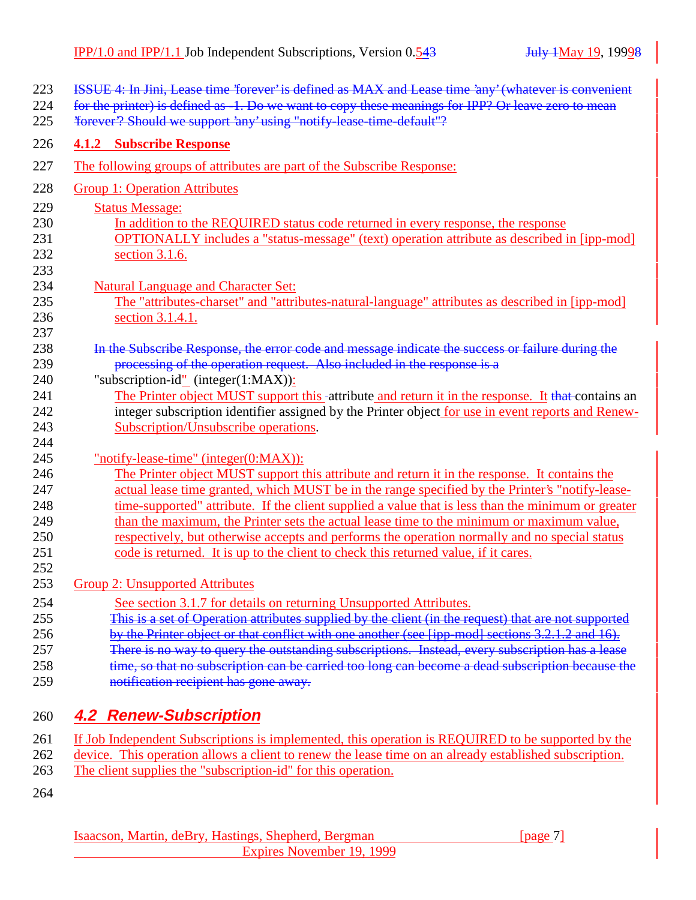| 223<br>224<br>225 | ISSUE 4: In Jini, Lease time 'forever' is defined as MAX and Lease time 'any' (whatever is convenient<br>for the printer) is defined as -1. Do we want to copy these meanings for IPP? Or leave zero to mean<br>¥orever"? Should we support 'any' using "notify lease time default"? |
|-------------------|--------------------------------------------------------------------------------------------------------------------------------------------------------------------------------------------------------------------------------------------------------------------------------------|
| 226               | <b>4.1.2 Subscribe Response</b>                                                                                                                                                                                                                                                      |
| 227               | The following groups of attributes are part of the Subscribe Response:                                                                                                                                                                                                               |
| 228               | <b>Group 1: Operation Attributes</b>                                                                                                                                                                                                                                                 |
| 229               | <b>Status Message:</b>                                                                                                                                                                                                                                                               |
| 230               | In addition to the REQUIRED status code returned in every response, the response                                                                                                                                                                                                     |
| 231               | OPTIONALLY includes a "status-message" (text) operation attribute as described in [ipp-mod]                                                                                                                                                                                          |
| 232               | section 3.1.6.                                                                                                                                                                                                                                                                       |
| 233               |                                                                                                                                                                                                                                                                                      |
| 234<br>235        | <b>Natural Language and Character Set:</b><br>The "attributes-charset" and "attributes-natural-language" attributes as described in [ipp-mod]                                                                                                                                        |
| 236               | section 3.1.4.1.                                                                                                                                                                                                                                                                     |
| 237               |                                                                                                                                                                                                                                                                                      |
| 238               | In the Subscribe Response, the error code and message indicate the success or failure during the                                                                                                                                                                                     |
| 239               | processing of the operation request. Also included in the response is a                                                                                                                                                                                                              |
| 240               | "subscription-id" (integer(1:MAX)):                                                                                                                                                                                                                                                  |
| 241               | The Printer object MUST support this -attribute and return it in the response. It that contains an                                                                                                                                                                                   |
| 242               | integer subscription identifier assigned by the Printer object for use in event reports and Renew-                                                                                                                                                                                   |
| 243               | Subscription/Unsubscribe operations.                                                                                                                                                                                                                                                 |
| 244               |                                                                                                                                                                                                                                                                                      |
| 245               | "notify-lease-time" (integer(0:MAX)):                                                                                                                                                                                                                                                |
| 246               | The Printer object MUST support this attribute and return it in the response. It contains the                                                                                                                                                                                        |
| 247               | actual lease time granted, which MUST be in the range specified by the Printer's "notify-lease-                                                                                                                                                                                      |
| 248               | time-supported" attribute. If the client supplied a value that is less than the minimum or greater                                                                                                                                                                                   |
| 249               | than the maximum, the Printer sets the actual lease time to the minimum or maximum value,                                                                                                                                                                                            |
| 250               | respectively, but otherwise accepts and performs the operation normally and no special status                                                                                                                                                                                        |
| 251               | code is returned. It is up to the client to check this returned value, if it cares.                                                                                                                                                                                                  |
| 252<br>253        | <b>Group 2: Unsupported Attributes</b>                                                                                                                                                                                                                                               |
|                   |                                                                                                                                                                                                                                                                                      |
| 254<br>255        | See section 3.1.7 for details on returning Unsupported Attributes.<br>This is a set of Operation attributes supplied by the client (in the request) that are not supported                                                                                                           |
| 256               | by the Printer object or that conflict with one another (see [ipp-mod] sections 3.2.1.2 and 16).                                                                                                                                                                                     |
| 257               | There is no way to query the outstanding subscriptions. Instead, every subscription has a lease                                                                                                                                                                                      |
| 258               | time, so that no subscription can be carried too long can become a dead subscription because the                                                                                                                                                                                     |
| 259               | notification recipient has gone away.                                                                                                                                                                                                                                                |
|                   |                                                                                                                                                                                                                                                                                      |
| 260               | <b>4.2 Renew-Subscription</b>                                                                                                                                                                                                                                                        |
| 261               | If Job Independent Subscriptions is implemented, this operation is REQUIRED to be supported by the                                                                                                                                                                                   |

- 262 device. This operation allows a client to renew the lease time on an already established subscription.
- 263 The client supplies the "subscription-id" for this operation.
- 264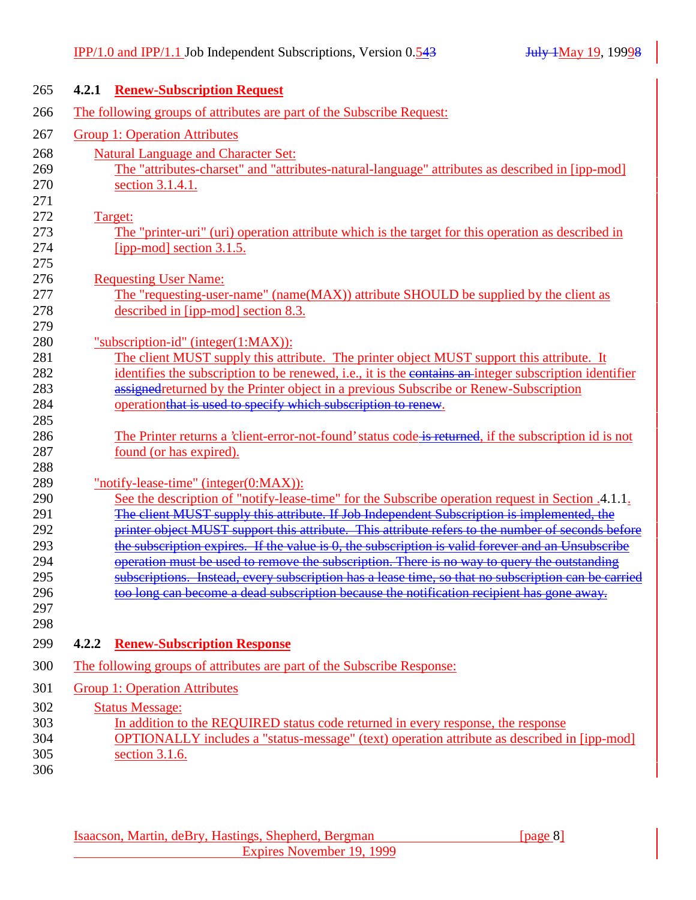|       | <b>4.2.1 Renew-Subscription Request</b>                                                                                                                                                         |
|-------|-------------------------------------------------------------------------------------------------------------------------------------------------------------------------------------------------|
|       | The following groups of attributes are part of the Subscribe Request:                                                                                                                           |
|       | <b>Group 1: Operation Attributes</b>                                                                                                                                                            |
|       | <b>Natural Language and Character Set:</b>                                                                                                                                                      |
|       | The "attributes-charset" and "attributes-natural-language" attributes as described in [ipp-mod]                                                                                                 |
|       | section 3.1.4.1.                                                                                                                                                                                |
|       |                                                                                                                                                                                                 |
|       | Target:                                                                                                                                                                                         |
|       | The "printer-uri" (uri) operation attribute which is the target for this operation as described in                                                                                              |
|       | [ipp-mod] section $3.1.5$ .                                                                                                                                                                     |
|       |                                                                                                                                                                                                 |
|       | <b>Requesting User Name:</b><br>The "requesting-user-name" (name(MAX)) attribute SHOULD be supplied by the client as                                                                            |
|       | described in [ipp-mod] section 8.3.                                                                                                                                                             |
|       |                                                                                                                                                                                                 |
|       | "subscription-id" (integer(1:MAX)):                                                                                                                                                             |
|       | The client MUST supply this attribute. The printer object MUST support this attribute. It                                                                                                       |
|       | identifies the subscription to be renewed, i.e., it is the contains an integer subscription identifier                                                                                          |
|       | assigned returned by the Printer object in a previous Subscribe or Renew-Subscription                                                                                                           |
|       | operationthat is used to specify which subscription to renew.                                                                                                                                   |
|       |                                                                                                                                                                                                 |
|       | The Printer returns a 'client-error-not-found' status code is returned, if the subscription id is not                                                                                           |
|       | found (or has expired).                                                                                                                                                                         |
|       |                                                                                                                                                                                                 |
|       | "notify-lease-time" (integer $(0:MAX)$ ):                                                                                                                                                       |
|       | See the description of "notify-lease-time" for the Subscribe operation request in Section .4.1.1.<br>The client MUST supply this attribute. If Job Independent Subscription is implemented, the |
|       | printer object MUST support this attribute. This attribute refers to the number of seconds before                                                                                               |
|       | the subscription expires. If the value is 0, the subscription is valid forever and an Unsubscribe                                                                                               |
|       | operation must be used to remove the subscription. There is no way to query the outstanding                                                                                                     |
|       | subscriptions. Instead, every subscription has a lease time, so that no subscription can be carried                                                                                             |
|       | too long can become a dead subscription because the notification recipient has gone away.                                                                                                       |
|       |                                                                                                                                                                                                 |
|       |                                                                                                                                                                                                 |
| 4.2.2 | <b>Renew-Subscription Response</b>                                                                                                                                                              |
|       | The following groups of attributes are part of the Subscribe Response:                                                                                                                          |
|       |                                                                                                                                                                                                 |
|       | <b>Group 1: Operation Attributes</b>                                                                                                                                                            |
|       | <b>Status Message:</b>                                                                                                                                                                          |
|       | In addition to the REQUIRED status code returned in every response, the response                                                                                                                |
|       | <b>OPTIONALLY</b> includes a "status-message" (text) operation attribute as described in [ipp-mod]                                                                                              |
|       | section 3.1.6.                                                                                                                                                                                  |
|       |                                                                                                                                                                                                 |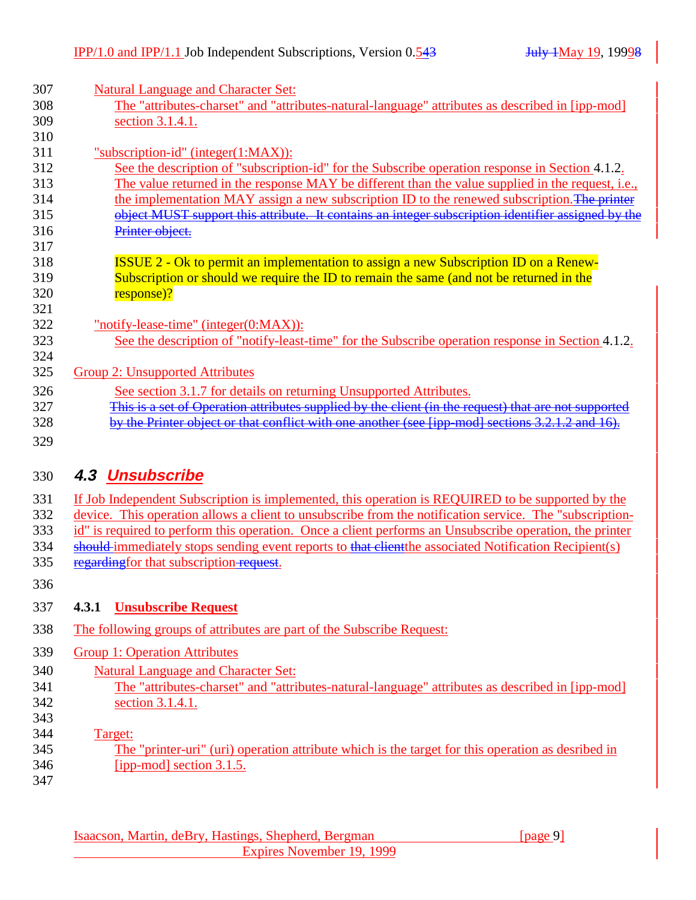| 307        | <b>Natural Language and Character Set:</b>                                                           |
|------------|------------------------------------------------------------------------------------------------------|
| 308        | The "attributes-charset" and "attributes-natural-language" attributes as described in [ipp-mod]      |
| 309        | section 3.1.4.1.                                                                                     |
| 310        |                                                                                                      |
| 311        | "subscription-id" (integer(1:MAX)):                                                                  |
| 312        | See the description of "subscription-id" for the Subscribe operation response in Section 4.1.2.      |
| 313        | The value returned in the response MAY be different than the value supplied in the request, i.e.,    |
| 314        | the implementation MAY assign a new subscription ID to the renewed subscription. The printer         |
| 315        | object MUST support this attribute. It contains an integer subscription identifier assigned by the   |
| 316        | Printer object.                                                                                      |
| 317        |                                                                                                      |
| 318        | <b>ISSUE 2 - Ok to permit an implementation to assign a new Subscription ID on a Renew-</b>          |
| 319        | Subscription or should we require the ID to remain the same (and not be returned in the              |
| 320        | response)?                                                                                           |
| 321        |                                                                                                      |
| 322        | "notify-lease-time" (integer( $0:MAX$ )):                                                            |
| 323        | See the description of "notify-least-time" for the Subscribe operation response in Section 4.1.2.    |
| 324<br>325 | <b>Group 2: Unsupported Attributes</b>                                                               |
| 326        | See section 3.1.7 for details on returning Unsupported Attributes.                                   |
| 327        | This is a set of Operation attributes supplied by the client (in the request) that are not supported |
| 328        | by the Printer object or that conflict with one another (see [ipp-mod] sections 3.2.1.2 and 16)      |
| 329        |                                                                                                      |
|            |                                                                                                      |
|            |                                                                                                      |
| 330        | 4.3 Unsubscribe                                                                                      |

| 331 If Job Independent Subscription is implemented, this operation is REQUIRED to be supported by the       |
|-------------------------------------------------------------------------------------------------------------|
| 332 device. This operation allows a client to unsubscribe from the notification service. The "subscription- |
| 333 id" is required to perform this operation. Once a client performs an Unsubscribe operation, the printer |

- 334 should immediately stops sending event reports to that elientthe associated Notification Recipient(s)
- 335 regarding for that subscription-request.
- 336

### 337 **4.3.1 Unsubscribe Request**

- 338 The following groups of attributes are part of the Subscribe Request:
- 339 Group 1: Operation Attributes
- 340 Natural Language and Character Set:
- 341 The "attributes-charset" and "attributes-natural-language" attributes as described in [ipp-mod] 342 section 3.1.4.1.
- 343
- 344 Target:
- 345 The "printer-uri" (uri) operation attribute which is the target for this operation as desribed in 346 [ipp-mod] section 3.1.5.
- 347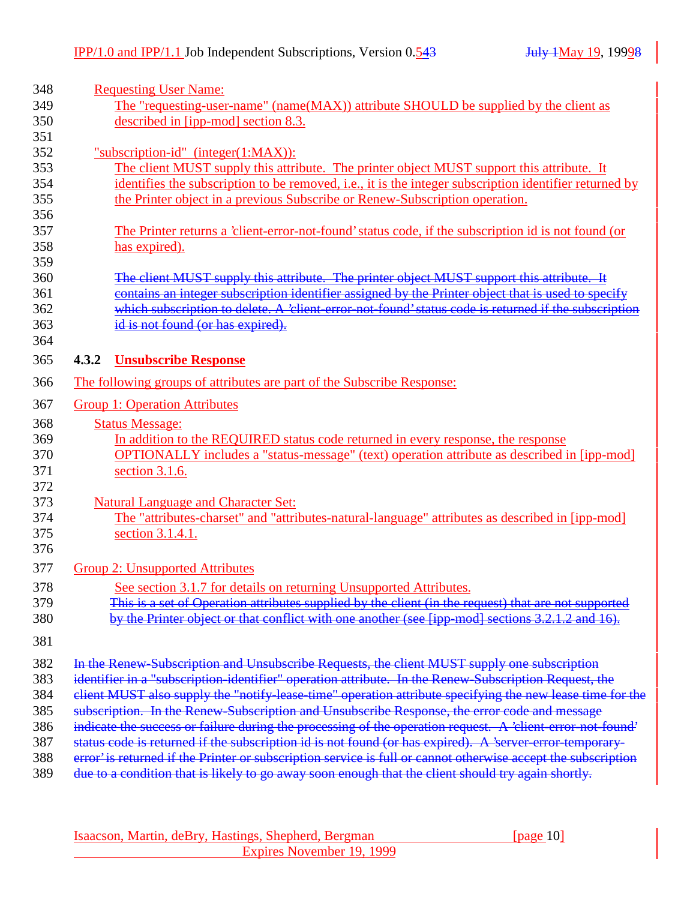| 348        | <b>Requesting User Name:</b>                                                                                  |
|------------|---------------------------------------------------------------------------------------------------------------|
| 349        | The "requesting-user-name" (name(MAX)) attribute SHOULD be supplied by the client as                          |
| 350        | described in [ipp-mod] section 8.3.                                                                           |
| 351        |                                                                                                               |
| 352        | "subscription-id" (integer(1:MAX)):                                                                           |
| 353        | The client MUST supply this attribute. The printer object MUST support this attribute. It                     |
| 354        | identifies the subscription to be removed, i.e., it is the integer subscription identifier returned by        |
| 355        | the Printer object in a previous Subscribe or Renew-Subscription operation.                                   |
| 356        |                                                                                                               |
| 357        | The Printer returns a 'client-error-not-found' status code, if the subscription id is not found (or           |
| 358        | has expired).                                                                                                 |
| 359        |                                                                                                               |
| 360        | The client MUST supply this attribute. The printer object MUST support this attribute. It                     |
| 361        | contains an integer subscription identifier assigned by the Printer object that is used to specify            |
| 362        | which subscription to delete. A 'client-error-not-found' status code is returned if the subscription          |
| 363        | d is not found (or has expired).                                                                              |
| 364        |                                                                                                               |
| 365        | <b>Unsubscribe Response</b><br>4.3.2                                                                          |
| 366        | The following groups of attributes are part of the Subscribe Response:                                        |
| 367        | <b>Group 1: Operation Attributes</b>                                                                          |
| 368        | <b>Status Message:</b>                                                                                        |
| 369        | In addition to the REQUIRED status code returned in every response, the response                              |
| 370        | OPTIONALLY includes a "status-message" (text) operation attribute as described in [ipp-mod]                   |
| 371        | section 3.1.6.                                                                                                |
| 372        |                                                                                                               |
| 373        | <b>Natural Language and Character Set:</b>                                                                    |
|            | The "attributes-charset" and "attributes-natural-language" attributes as described in [ipp-mod]               |
| 374        |                                                                                                               |
| 375        | section 3.1.4.1.                                                                                              |
| 376<br>377 | <b>Group 2: Unsupported Attributes</b>                                                                        |
|            |                                                                                                               |
| 378        | See section 3.1.7 for details on returning Unsupported Attributes.                                            |
| 379        | This is a set of Operation attributes supplied by the client (in the request) that are not supported          |
| 380        | by the Printer object or that conflict with one another (see [ipp-mod] sections 3.2.1.2 and 16).              |
| 381        |                                                                                                               |
| 382        | In the Renew-Subscription and Unsubscribe Requests, the client MUST supply one subscription                   |
| 383        | identifier in a "subscription-identifier" operation attribute. In the Renew-Subscription Request, the         |
| 384        | elient MUST also supply the "notify-lease-time" operation attribute specifying the new lease time for the     |
| 385        | subscription. In the Renew-Subscription and Unsubscribe Response, the error code and message                  |
| 386        | indicate the success or failure during the processing of the operation request. A 'client error not found'    |
| 387        |                                                                                                               |
| 388        | status code is returned if the subscription id is not found (or has expired). A 'server-error-temporary-      |
|            | error' is returned if the Printer or subscription service is full or cannot otherwise accept the subscription |
| 389        | due to a condition that is likely to go away soon enough that the client should try again shortly.            |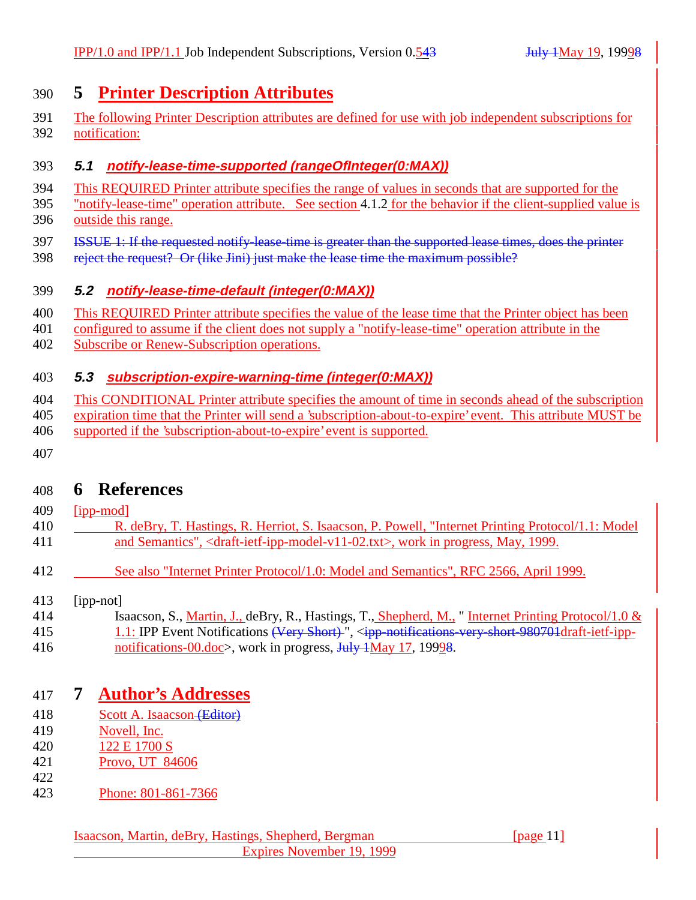# **5 Printer Description Attributes**

 The following Printer Description attributes are defined for use with job independent subscriptions for notification:

#### **5.1 notify-lease-time-supported (rangeOfInteger(0:MAX))**

- This REQUIRED Printer attribute specifies the range of values in seconds that are supported for the
- "notify-lease-time" operation attribute. See section 4.1.2 for the behavior if the client-supplied value is outside this range.
- ISSUE 1: If the requested notify-lease-time is greater than the supported lease times, does the printer
- 398 reject the request? Or (like Jini) just make the lease time the maximum possible?

#### **5.2 notify-lease-time-default (integer(0:MAX))**

- This REQUIRED Printer attribute specifies the value of the lease time that the Printer object has been
- configured to assume if the client does not supply a "notify-lease-time" operation attribute in the
- Subscribe or Renew-Subscription operations.

### **5.3 subscription-expire-warning-time (integer(0:MAX))**

- This CONDITIONAL Printer attribute specifies the amount of time in seconds ahead of the subscription
- expiration time that the Printer will send a 'subscription-about-to-expire' event. This attribute MUST be
- supported if the 'subscription-about-to-expire' event is supported.
- 

# **6 References**

- [ipp-mod]
- 410 R. deBry, T. Hastings, R. Herriot, S. Isaacson, P. Powell, "Internet Printing Protocol/1.1: Model and Semantics", <draft-ietf-ipp-model-v11-02.txt>, work in progress, May, 1999.
- 412 See also "Internet Printer Protocol/1.0: Model and Semantics", RFC 2566, April 1999.
- [ipp-not]
- 414 Isaacson, S., Martin, J., deBry, R., Hastings, T., Shepherd, M., "Internet Printing Protocol/1.0 & 415 1.1: IPP Event Notifications (Very Short)", <ipp-notifications-very-short-980701draft-ietf-ipp-
- 416 notifications-00.doc>, work in progress, July 1May 17, 19998.

# **7 Author's Addresses**

- 418 Scott A. Isaacson (Editor)
- Novell, Inc.
- 122 E 1700 S
- Provo, UT 84606
- 
- Phone: 801-861-7366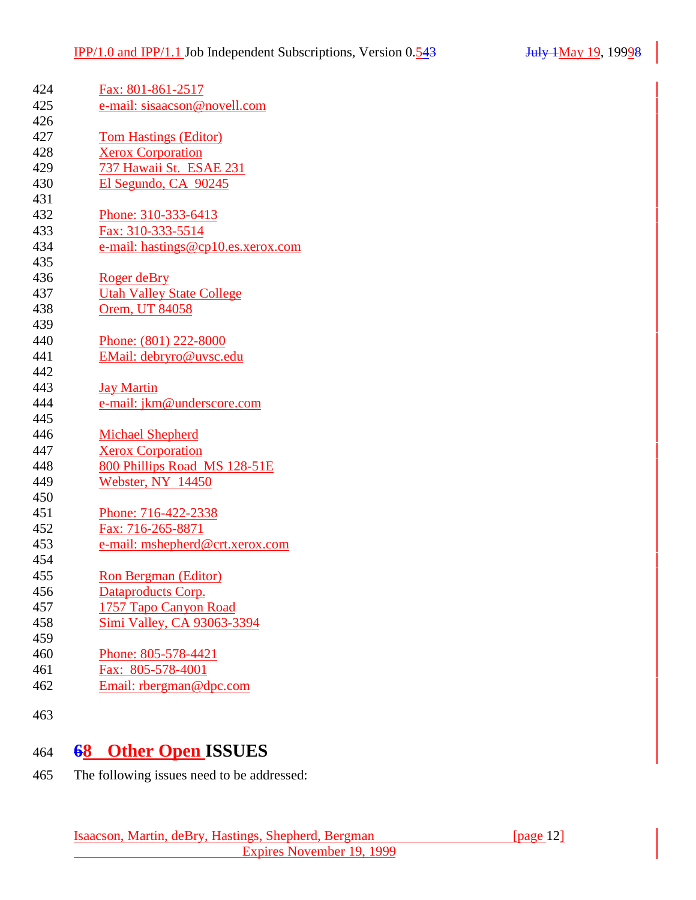| 424 | Fax: 801-861-2517                  |
|-----|------------------------------------|
| 425 | e-mail: sisaacson@novell.com       |
| 426 |                                    |
| 427 | <b>Tom Hastings (Editor)</b>       |
| 428 | <b>Xerox Corporation</b>           |
| 429 | 737 Hawaii St. ESAE 231            |
| 430 | El Segundo, CA 90245               |
| 431 |                                    |
| 432 | Phone: 310-333-6413                |
| 433 | Fax: 310-333-5514                  |
| 434 | e-mail: hastings@cp10.es.xerox.com |
| 435 |                                    |
| 436 | Roger deBry                        |
| 437 | <b>Utah Valley State College</b>   |
| 438 | Orem, UT 84058                     |
| 439 |                                    |
| 440 | Phone: (801) 222-8000              |
| 441 | EMail: debryro@uvsc.edu            |
| 442 |                                    |
| 443 | <b>Jay Martin</b>                  |
| 444 | e-mail: jkm@underscore.com         |
| 445 |                                    |
| 446 | Michael Shepherd                   |
| 447 | <b>Xerox Corporation</b>           |
| 448 | 800 Phillips Road MS 128-51E       |
| 449 | Webster, NY 14450                  |
| 450 |                                    |
| 451 | Phone: 716-422-2338                |
| 452 | Fax: 716-265-8871                  |
| 453 | e-mail: mshepherd@crt.xerox.com    |
| 454 |                                    |
| 455 | Ron Bergman (Editor)               |
| 456 | Dataproducts Corp.                 |
| 457 | 1757 Tapo Canyon Road              |
| 458 | Simi Valley, CA 93063-3394         |
| 459 |                                    |
| 460 | Phone: 805-578-4421                |
| 461 | Fax: 805-578-4001                  |
| 462 | Email: rbergman@dpc.com            |
|     |                                    |

# **68 Other Open ISSUES**

The following issues need to be addressed: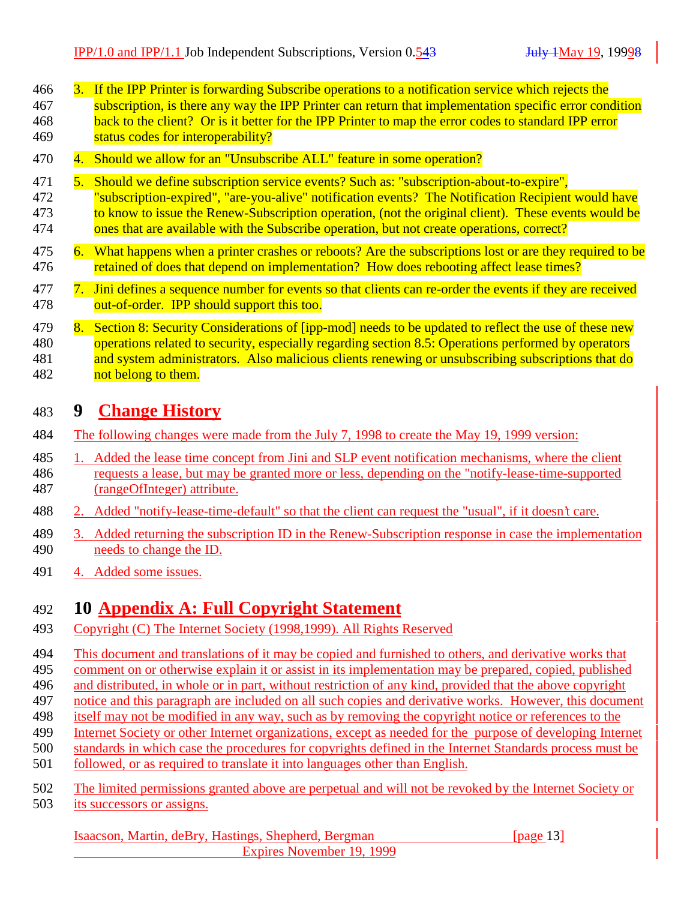| 466 | 3. If the IPP Printer is forwarding Subscribe operations to a notification service which rejects the   |
|-----|--------------------------------------------------------------------------------------------------------|
| 467 | subscription, is there any way the IPP Printer can return that implementation specific error condition |
| 468 | back to the client? Or is it better for the IPP Printer to map the error codes to standard IPP error   |
| 469 | status codes for interoperability?                                                                     |

- 470 4. Should we allow for an "Unsubscribe ALL" feature in some operation?
- 471 5. Should we define subscription service events? Such as: "subscription-about-to-expire",
- 472 "subscription-expired", "are-you-alive" notification events? The Notification Recipient would have 473 to know to issue the Renew-Subscription operation, (not the original client). These events would be 474 ones that are available with the Subscribe operation, but not create operations, correct?
- 475 6. What happens when a printer crashes or reboots? Are the subscriptions lost or are they required to be 476 retained of does that depend on implementation? How does rebooting affect lease times?
- 477 7. Jini defines a sequence number for events so that clients can re-order the events if they are received 478 out-of-order. IPP should support this too.
- 479 8. Section 8: Security Considerations of [ipp-mod] needs to be updated to reflect the use of these new 480 operations related to security, especially regarding section 8.5: Operations performed by operators 481 and system administrators. Also malicious clients renewing or unsubscribing subscriptions that do 482 not belong to them.

### 483 **9 Change History**

- 484 The following changes were made from the July 7, 1998 to create the May 19, 1999 version:
- 485 1. Added the lease time concept from Jini and SLP event notification mechanisms, where the client 486 requests a lease, but may be granted more or less, depending on the "notify-lease-time-supported 487 (rangeOfInteger) attribute.
- 488 2. Added "notify-lease-time-default" so that the client can request the "usual", if it doesn't care.
- 489 3. Added returning the subscription ID in the Renew-Subscription response in case the implementation 490 needs to change the ID.
- 491 4. Added some issues.

# 492 **10 Appendix A: Full Copyright Statement**

- 493 Copyright (C) The Internet Society (1998,1999). All Rights Reserved
- 494 This document and translations of it may be copied and furnished to others, and derivative works that<br>495 comment on or otherwise explain it or assist in its implementation may be prepared, copied, published
- 495 comment on or otherwise explain it or assist in its implementation may be prepared, copied, published
- 496 and distributed, in whole or in part, without restriction of any kind, provided that the above copyright
- 497 notice and this paragraph are included on all such copies and derivative works. However, this document
- 498 itself may not be modified in any way, such as by removing the copyright notice or references to the
- 499 Internet Society or other Internet organizations, except as needed for the purpose of developing Internet
- 500 standards in which case the procedures for copyrights defined in the Internet Standards process must be
- 501 followed, or as required to translate it into languages other than English.
- 502 The limited permissions granted above are perpetual and will not be revoked by the Internet Society or 503 its successors or assigns.

Isaacson, Martin, deBry, Hastings, Shepherd, Bergman [page 13] Expires November 19, 1999